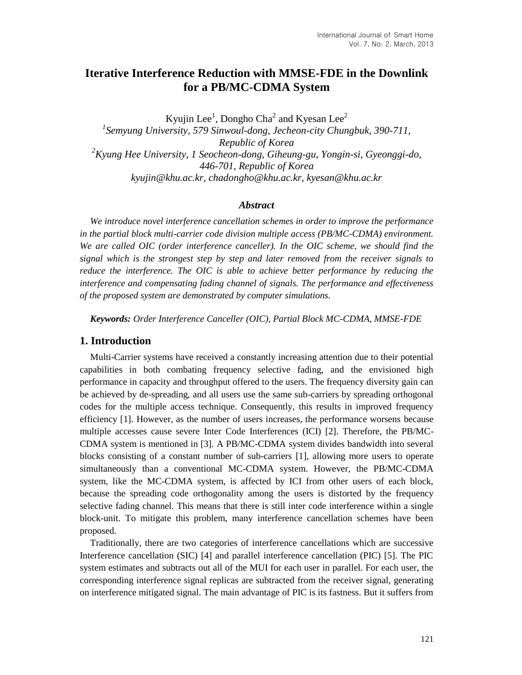# **Iterative Interference Reduction with MMSE-FDE in the Downlink for a PB/MC-CDMA System**

Kyujin Lee<sup>1</sup>, Dongho Cha<sup>2</sup> and Kyesan Lee<sup>2</sup> *1 Semyung University, 579 Sinwoul-dong, Jecheon-city Chungbuk, 390-711, Republic of Korea <sup>2</sup>Kyung Hee University, 1 Seocheon-dong, Giheung-gu, Yongin-si, Gyeonggi-do, 446-701, Republic of Korea kyujin@khu.ac.kr, chadongho@khu.ac.kr, kyesan@khu.ac.kr*

### *Abstract*

*We introduce novel interference cancellation schemes in order to improve the performance in the partial block multi-carrier code division multiple access (PB/MC-CDMA) environment. We are called OIC (order interference canceller). In the OIC scheme, we should find the signal which is the strongest step by step and later removed from the receiver signals to reduce the interference. The OIC is able to achieve better performance by reducing the interference and compensating fading channel of signals. The performance and effectiveness of the proposed system are demonstrated by computer simulations.*

*Keywords: Order Interference Canceller (OIC), Partial Block MC-CDMA, MMSE-FDE*

### **1. Introduction**

Multi-Carrier systems have received a constantly increasing attention due to their potential capabilities in both combating frequency selective fading, and the envisioned high performance in capacity and throughput offered to the users. The frequency diversity gain can be achieved by de-spreading, and all users use the same sub-carriers by spreading orthogonal codes for the multiple access technique. Consequently, this results in improved frequency efficiency [1]. However, as the number of users increases, the performance worsens because multiple accesses cause severe Inter Code Interferences (ICI) [2]. Therefore, the PB/MC-CDMA system is mentioned in [3]. A PB/MC-CDMA system divides bandwidth into several blocks consisting of a constant number of sub-carriers [1], allowing more users to operate simultaneously than a conventional MC-CDMA system. However, the PB/MC-CDMA system, like the MC-CDMA system, is affected by ICI from other users of each block, because the spreading code orthogonality among the users is distorted by the frequency selective fading channel. This means that there is still inter code interference within a single block-unit. To mitigate this problem, many interference cancellation schemes have been proposed.

Traditionally, there are two categories of interference cancellations which are successive Interference cancellation (SIC) [4] and parallel interference cancellation (PIC) [5]. The PIC system estimates and subtracts out all of the MUI for each user in parallel. For each user, the corresponding interference signal replicas are subtracted from the receiver signal, generating on interference mitigated signal. The main advantage of PIC is its fastness. But it suffers from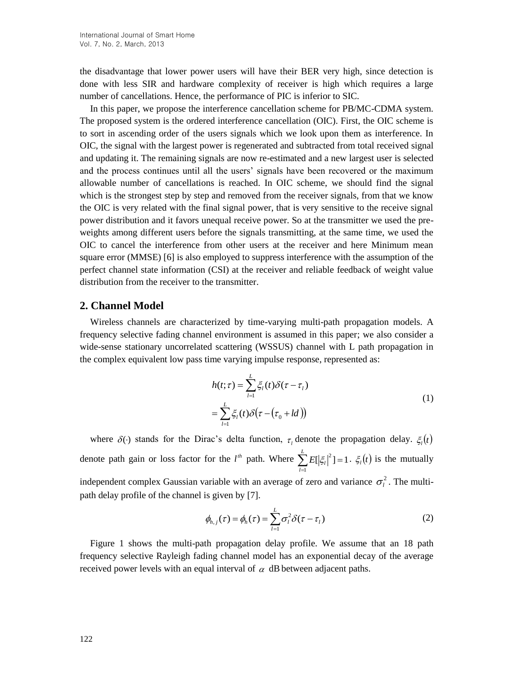the disadvantage that lower power users will have their BER very high, since detection is done with less SIR and hardware complexity of receiver is high which requires a large number of cancellations. Hence, the performance of PIC is inferior to SIC.

In this paper, we propose the interference cancellation scheme for PB/MC-CDMA system. The proposed system is the ordered interference cancellation (OIC). First, the OIC scheme is to sort in ascending order of the users signals which we look upon them as interference. In OIC, the signal with the largest power is regenerated and subtracted from total received signal and updating it. The remaining signals are now re-estimated and a new largest user is selected and the process continues until all the users' signals have been recovered or the maximum allowable number of cancellations is reached. In OIC scheme, we should find the signal which is the strongest step by step and removed from the receiver signals, from that we know the OIC is very related with the final signal power, that is very sensitive to the receive signal power distribution and it favors unequal receive power. So at the transmitter we used the preweights among different users before the signals transmitting, at the same time, we used the OIC to cancel the interference from other users at the receiver and here Minimum mean square error (MMSE) [6] is also employed to suppress interference with the assumption of the perfect channel state information (CSI) at the receiver and reliable feedback of weight value distribution from the receiver to the transmitter.

### **2. Channel Model**

Wireless channels are characterized by time-varying multi-path propagation models. A frequency selective fading channel environment is assumed in this paper; we also consider a wide-sense stationary uncorrelated scattering (WSSUS) channel with L path propagation in the complex equivalent low pass time varying impulse response, represented as:

$$
h(t; \tau) = \sum_{l=1}^{L} \xi_l(t) \delta(\tau - \tau_l)
$$
  
= 
$$
\sum_{l=1}^{L} \xi_l(t) \delta(\tau - (\tau_0 + ld))
$$
 (1)

where  $\delta(\cdot)$  stands for the Dirac's delta function,  $\tau_i$  denote the propagation delay.  $\xi_i(t)$ denote path gain or loss factor for the  $l^{\text{th}}$  path. Where  $\sum E[\xi_i]^2] = 1$  $\sum_{l=1}^{E} E[|\xi_l|^2] =$ *L*  $\sum_{l=1} E[|\xi_l|^2] = 1$ .  $\xi_l(t)$  is the mutually independent complex Gaussian variable with an average of zero and variance  $\sigma_l^2$ . The multipath delay profile of the channel is given by [7].

$$
\phi_{h,j}(\tau) = \phi_h(\tau) = \sum_{l=1}^L \sigma_l^2 \delta(\tau - \tau_l)
$$
\n(2)

Figure 1 shows the multi-path propagation delay profile. We assume that an 18 path frequency selective Rayleigh fading channel model has an exponential decay of the average received power levels with an equal interval of  $\alpha$  dB between adjacent paths.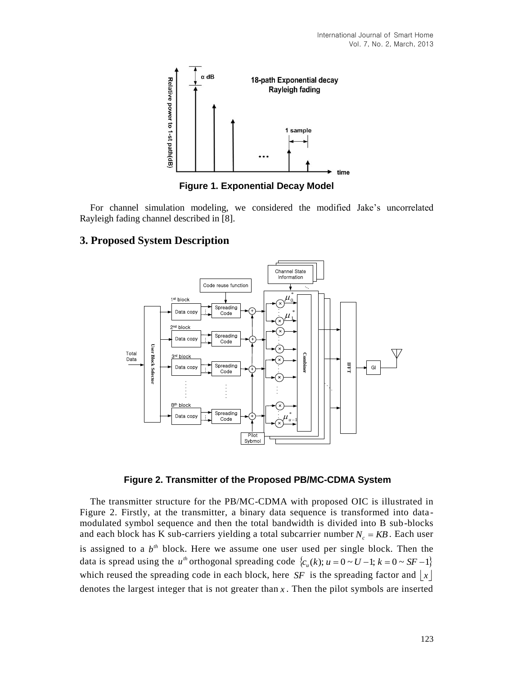

**Figure 1. Exponential Decay Model** 

For channel simulation modeling, we considered the modified Jake's uncorrelated Rayleigh fading channel described in [8].

### **3. Proposed System Description**





The transmitter structure for the PB/MC-CDMA with proposed OIC is illustrated in Figure 2. Firstly, at the transmitter, a binary data sequence is transformed into data modulated symbol sequence and then the total bandwidth is divided into B sub-blocks and each block has K sub-carriers yielding a total subcarrier number  $N_c = KB$ . Each user is assigned to a  $b<sup>th</sup>$  block. Here we assume one user used per single block. Then the data is spread using the *u*<sup>th</sup> orthogonal spreading code  $\{c_u(k); u = 0 \sim U - 1; k = 0 \sim SF - 1\}$ which reused the spreading code in each block, here  $SF$  is the spreading factor and  $\lfloor x \rfloor$ denotes the largest integer that is not greater than *x* . Then the pilot symbols are inserted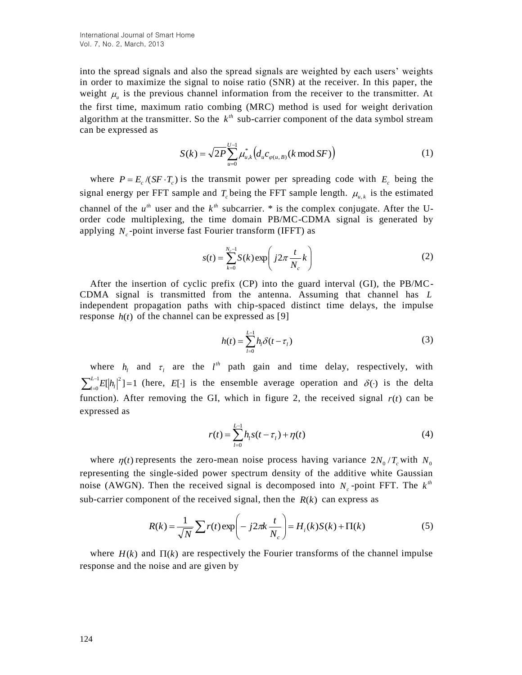into the spread signals and also the spread signals are weighted by each users' weights in order to maximize the signal to noise ratio (SNR) at the receiver. In this paper, the weight  $\mu_{\mu}$  is the previous channel information from the receiver to the transmitter. At the first time, maximum ratio combing (MRC) method is used for weight derivation algorithm at the transmitter. So the  $k^{\text{th}}$  sub-carrier component of the data symbol stream can be expressed as

$$
S(k) = \sqrt{2P} \sum_{u=0}^{U-1} \mu_{u,k}^* \left( d_u c_{\varphi(u,B)}(k \text{ mod } SF) \right)
$$
 (1)

where  $P = E_c / (SF \cdot T_c)$  is the transmit power per spreading code with  $E_c$  being the signal energy per FFT sample and  $T_c$  being the FFT sample length.  $\mu_{u,k}$  is the estimated channel of the  $u^{th}$  user and the  $k^{th}$  subcarrier. \* is the complex conjugate. After the Uorder code multiplexing, the time domain PB/MC-CDMA signal is generated by applying  $N_c$ -point inverse fast Fourier transform (IFFT) as

$$
s(t) = \sum_{k=0}^{N_c - 1} S(k) \exp\left(j2\pi \frac{t}{N_c} k\right)
$$
 (2)

After the insertion of cyclic prefix (CP) into the guard interval (GI), the PB/MC-CDMA signal is transmitted from the antenna. Assuming that channel has *L* independent propagation paths with chip-spaced distinct time delays, the impulse response  $h(t)$  of the channel can be expressed as [9]

$$
h(t) = \sum_{l=0}^{L-1} h_l \delta(t - \tau_l)
$$
\n(3)

where  $h_l$  and  $\tau_l$  are the  $l^{th}$  path gain and time delay, respectively, with  $\sum\nolimits_{l=0}^{L-1}$  $\sum_{l=0}^{L-1} E[|h_l|^2] =$ 0  $\sum_{l=0}^{L-1} E[|h_l|^2] = 1$  $\mathbb{E}[\hat{h}_i]^2$ ] = 1 (here, E[·] is the ensemble average operation and  $\delta(\cdot)$  is the delta function). After removing the GI, which in figure 2, the received signal  $r(t)$  can be expressed as

$$
r(t) = \sum_{l=0}^{L-1} h_l s(t - \tau_l) + \eta(t)
$$
\n(4)

where  $\eta(t)$  represents the zero-mean noise process having variance  $2N_0/T_c$  with  $N_0$ representing the single-sided power spectrum density of the additive white Gaussian noise (AWGN). Then the received signal is decomposed into  $N_c$ -point FFT. The  $k^{th}$ sub-carrier component of the received signal, then the  $R(k)$  can express as

$$
R(k) = \frac{1}{\sqrt{N}} \sum r(t) \exp\left(-j2\pi k \frac{t}{N_c}\right) = H_i(k)S(k) + \Pi(k)
$$
\n(5)

where  $H(k)$  and  $\Pi(k)$  are respectively the Fourier transforms of the channel impulse response and the noise and are given by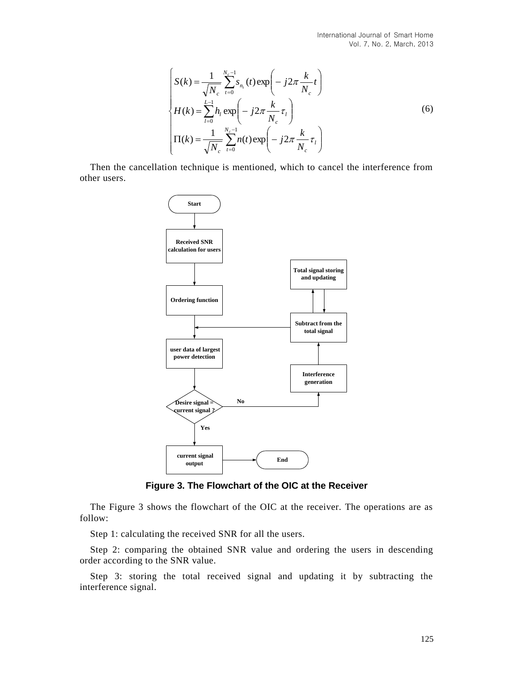$$
\begin{cases}\nS(k) = \frac{1}{\sqrt{N_c}} \sum_{t=0}^{N_c-1} s_{n_t}(t) \exp\left(-j2\pi \frac{k}{N_c} t\right) \\
H(k) = \sum_{l=0}^{L-1} h_l \exp\left(-j2\pi \frac{k}{N_c} \tau_l\right) \\
\Pi(k) = \frac{1}{\sqrt{N_c}} \sum_{t=0}^{N_c-1} n(t) \exp\left(-j2\pi \frac{k}{N_c} \tau_l\right)\n\end{cases} (6)
$$

Then the cancellation technique is mentioned, which to cancel the interference from other users.



**Figure 3. The Flowchart of the OIC at the Receiver**

The Figure 3 shows the flowchart of the OIC at the receiver. The operations are as follow:

Step 1: calculating the received SNR for all the users.

Step 2: comparing the obtained SNR value and ordering the users in descending order according to the SNR value.

Step 3: storing the total received signal and updating it by subtracting the interference signal.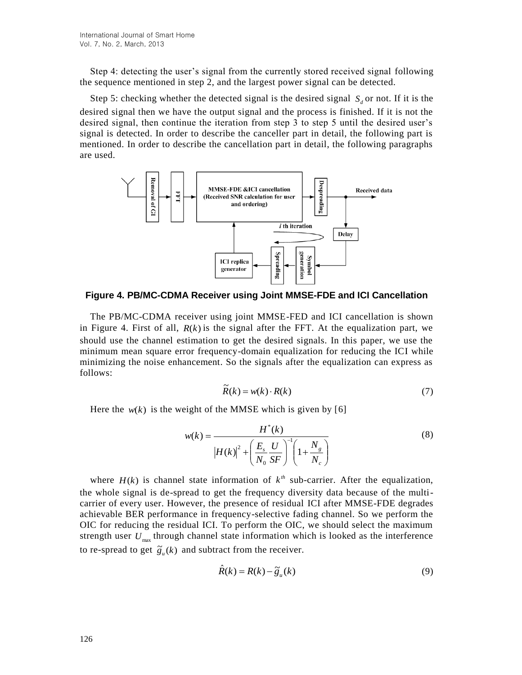Step 4: detecting the user's signal from the currently stored received signal following the sequence mentioned in step 2, and the largest power signal can be detected.

Step 5: checking whether the detected signal is the desired signal  $S_d$  or not. If it is the desired signal then we have the output signal and the process is finished. If it is not the desired signal, then continue the iteration from step 3 to step 5 until the desired user's signal is detected. In order to describe the canceller part in detail, the following part is mentioned. In order to describe the cancellation part in detail, the following paragraphs are used.



**Figure 4. PB/MC-CDMA Receiver using Joint MMSE-FDE and ICI Cancellation**

The PB/MC-CDMA receiver using joint MMSE-FED and ICI cancellation is shown in Figure 4. First of all,  $R(k)$  is the signal after the FFT. At the equalization part, we should use the channel estimation to get the desired signals. In this paper, we use the minimum mean square error frequency-domain equalization for reducing the ICI while minimizing the noise enhancement. So the signals after the equalization can express as follows:

$$
\widetilde{R}(k) = w(k) \cdot R(k) \tag{7}
$$

Here the  $w(k)$  is the weight of the MMSE which is given by [6]

$$
w(k) = \frac{H^{*}(k)}{|H(k)|^{2} + \left(\frac{E_{s}}{N_{0}} \frac{U}{SF}\right)^{-1} \left(1 + \frac{N_{g}}{N_{c}}\right)}
$$
(8)

where  $H(k)$  is channel state information of  $k^{th}$  sub-carrier. After the equalization, the whole signal is de-spread to get the frequency diversity data because of the multicarrier of every user. However, the presence of residual ICI after MMSE-FDE degrades achievable BER performance in frequency-selective fading channel. So we perform the OIC for reducing the residual ICI. To perform the OIC, we should select the maximum strength user  $U_{\text{max}}$  through channel state information which is looked as the interference to re-spread to get  $\tilde{g}_u(k)$  and subtract from the receiver.

$$
\hat{R}(k) = R(k) - \tilde{g}_u(k)
$$
\n(9)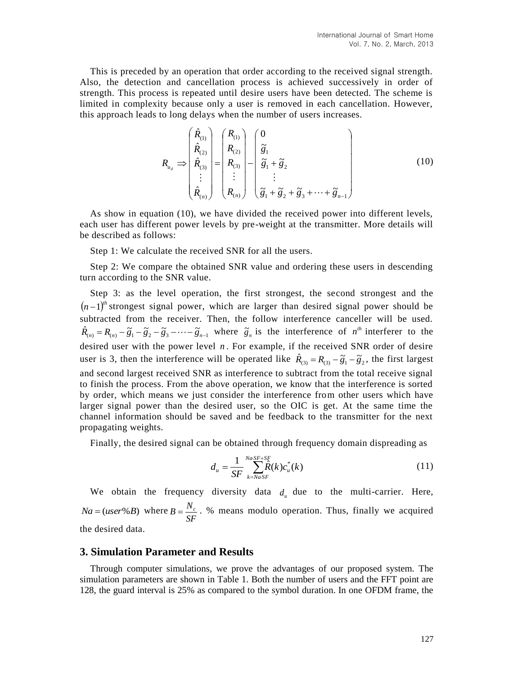This is preceded by an operation that order according to the received signal strength. Also, the detection and cancellation process is achieved successively in order of strength. This process is repeated until desire users have been detected. The scheme is limited in complexity because only a user is removed in each cancellation. However, this approach leads to long delays when the number of users increases.

$$
R_{u_d} \Rightarrow \begin{pmatrix} \hat{R}_{(1)} \\ \hat{R}_{(2)} \\ \hat{R}_{(3)} \\ \vdots \\ \hat{R}_{(n)} \end{pmatrix} = \begin{pmatrix} R_{(1)} \\ R_{(2)} \\ R_{(3)} \\ \vdots \\ R_{(n)} \end{pmatrix} - \begin{pmatrix} 0 \\ \tilde{g}_1 \\ \tilde{g}_1 + \tilde{g}_2 \\ \vdots \\ \tilde{g}_1 + \tilde{g}_2 + \tilde{g}_3 + \dots + \tilde{g}_{n-1} \end{pmatrix}
$$
(10)

As show in equation (10), we have divided the received power into different levels, each user has different power levels by pre-weight at the transmitter. More details will be described as follows:

Step 1: We calculate the received SNR for all the users.

ˆ

Step 2: We compare the obtained SNR value and ordering these users in descending turn according to the SNR value.

Step 3: as the level operation, the first strongest, the second strongest and the  $(n-1)^{th}$  strongest signal power, which are larger than desired signal power should be subtracted from the receiver. Then, the follow interference canceller will be used.  $\hat{R}_{(n)} = R_{(n)} - \tilde{g}_1 - \tilde{g}_2 - \tilde{g}_3 - \cdots - \tilde{g}_{n-1}$  where  $\tilde{g}_n$  is the interference of  $n^{th}$  interferer to the desired user with the power level *n* . For example, if the received SNR order of desire user is 3, then the interference will be operated like  $\hat{R}_{(3)} = R_{(3)} - \tilde{g}_1 - \tilde{g}_2$ , the first largest and second largest received SNR as interference to subtract from the total receive signal to finish the process. From the above operation, we know that the interference is sorted by order, which means we just consider the interference from other users which have larger signal power than the desired user, so the OIC is get. At the same time the channel information should be saved and be feedback to the transmitter for the next propagating weights.

Finally, the desired signal can be obtained through frequency domain dispreading as

$$
d_u = \frac{1}{SF} \sum_{k=NaSF}^{NaSF+SF} \hat{R}(k)c_u^*(k)
$$
\n(11)

We obtain the frequency diversity data  $d_u$  due to the multi-carrier. Here,  $Na = (user\%B)$  where *SF*  $B = \frac{N_c}{\sigma}$ . % means modulo operation. Thus, finally we acquired the desired data.

#### **3. Simulation Parameter and Results**

Through computer simulations, we prove the advantages of our proposed system. The simulation parameters are shown in Table 1. Both the number of users and the FFT point are 128, the guard interval is 25% as compared to the symbol duration. In one OFDM frame, the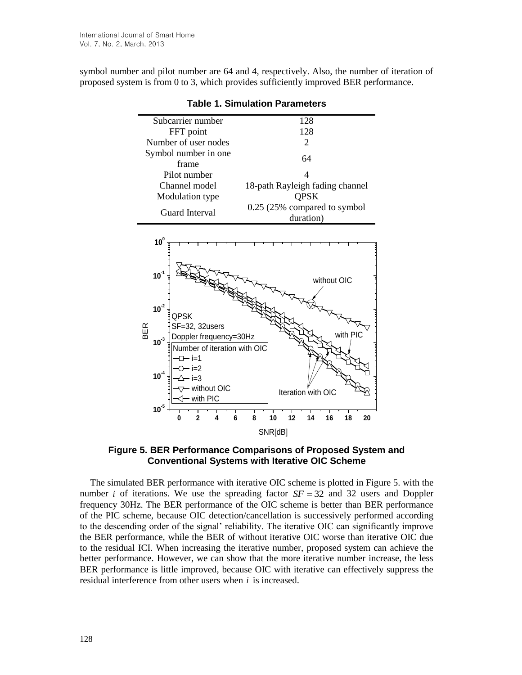symbol number and pilot number are 64 and 4, respectively. Also, the number of iteration of proposed system is from 0 to 3, which provides sufficiently improved BER performance.

| Subcarrier number                                                           | 128                                   |
|-----------------------------------------------------------------------------|---------------------------------------|
| FFT point                                                                   | 128                                   |
| Number of user nodes                                                        | 2                                     |
| Symbol number in one                                                        | 64                                    |
| frame                                                                       |                                       |
| Pilot number                                                                | Δ                                     |
| Channel model                                                               | 18-path Rayleigh fading channel       |
| Modulation type                                                             | <b>QPSK</b>                           |
| <b>Guard Interval</b>                                                       | 0.25 (25% compared to symbol          |
|                                                                             | duration)                             |
| 10 <sup>0</sup><br>$10^{-1}$                                                | without OIC                           |
| $10^{-2}$<br>QPSK<br>SF=32, 32users<br>BER                                  |                                       |
| Doppler frequency=30Hz<br>$10^{3}$<br>Number of iteration with OIC<br>– i=1 | with PIC                              |
| $10^{4}$<br>i=3<br>without OIC                                              | Iteration with OIC                    |
| - with PIC<br>$10^{5}$<br>$\overline{2}$<br>6<br>0<br>4                     | 8<br>16<br>12<br>14<br>18<br>20<br>10 |
|                                                                             | SNR[dB]                               |

**Table 1. Simulation Parameters**

**Figure 5. BER Performance Comparisons of Proposed System and Conventional Systems with Iterative OIC Scheme**

The simulated BER performance with iterative OIC scheme is plotted in Figure 5. with the number *i* of iterations. We use the spreading factor  $SF = 32$  and 32 users and Doppler frequency 30Hz. The BER performance of the OIC scheme is better than BER performance of the PIC scheme, because OIC detection/cancellation is successively performed according to the descending order of the signal' reliability. The iterative OIC can significantly improve the BER performance, while the BER of without iterative OIC worse than iterative OIC due to the residual ICI. When increasing the iterative number, proposed system can achieve the better performance. However, we can show that the more iterative number increase, the less BER performance is little improved, because OIC with iterative can effectively suppress the residual interference from other users when *i* is increased.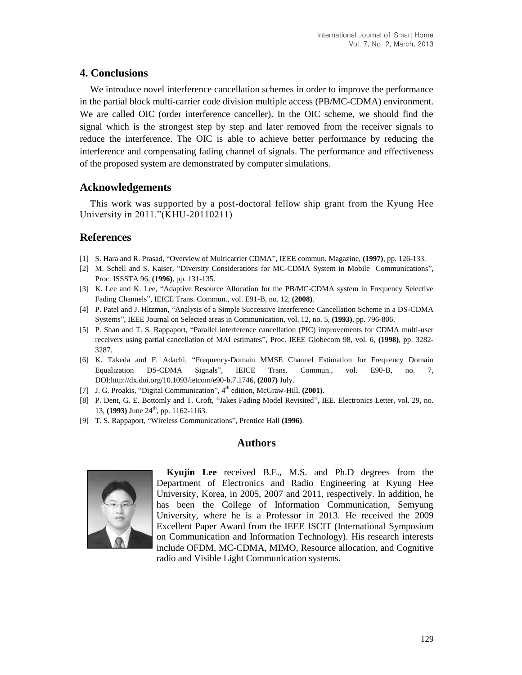## **4. Conclusions**

We introduce novel interference cancellation schemes in order to improve the performance in the partial block multi-carrier code division multiple access (PB/MC-CDMA) environment. We are called OIC (order interference canceller). In the OIC scheme, we should find the signal which is the strongest step by step and later removed from the receiver signals to reduce the interference. The OIC is able to achieve better performance by reducing the interference and compensating fading channel of signals. The performance and effectiveness of the proposed system are demonstrated by computer simulations.

## **Acknowledgements**

This work was supported by a post-doctoral fellow ship grant from the Kyung Hee University in 2011."(KHU-20110211)

## **References**

- [1] S. Hara and R. Prasad, "Overview of Multicarrier CDMA", IEEE commun. Magazine, **(1997)**, pp. 126-133.
- [2] M. Schell and S. Kaiser, "Diversity Considerations for MC-CDMA System in Mobile Communications", Proc. ISSSTA 96, **(1996)**, pp. 131-135.
- [3] K. Lee and K. Lee, "Adaptive Resource Allocation for the PB/MC-CDMA system in Frequency Selective Fading Channels", IEICE Trans. Commun., vol. E91-B, no. 12, **(2008)**.
- [4] P. Patel and J. Hltzman, "Analysis of a Simple Successive Interference Cancellation Scheme in a DS-CDMA Systems", IEEE Journal on Selected areas in Communication, vol. 12, no. 5, **(1993)**, pp. 796-806.
- [5] P. Shan and T. S. Rappaport, "Parallel interference cancellation (PIC) improvements for CDMA multi-user receivers using partial cancellation of MAI estimates", Proc. IEEE Globecom 98, vol. 6, **(1998)**, pp. 3282- 3287.
- [6] K. Takeda and F. Adachi, "Frequency-Domain MMSE Channel Estimation for Frequency Domain Equalization DS-CDMA Signals", IEICE Trans. Commun., vol. E90-B, no. 7, DOI:http://dx.doi.org/10.1093/ietcom/e90-b.7.1746, **(2007)** July.
- [7] J. G. Proakis, "Digital Communication", 4<sup>th</sup> edition, McGraw-Hill, **(2001)**.
- [8] P. Dent, G. E. Bottomly and T. Croft, "Jakes Fading Model Revisited", IEE. Electronics Letter, vol. 29, no. 13, **(1993)** June 24<sup>th</sup>, pp. 1162-1163.
- [9] T. S. Rappaport, "Wireless Communications", Prentice Hall **(1996)**.

### **Authors**



**Kyujin Lee** received B.E., M.S. and Ph.D degrees from the Department of Electronics and Radio Engineering at Kyung Hee University, Korea, in 2005, 2007 and 2011, respectively. In addition, he has been the College of Information Communication, Semyung University, where he is a Professor in 2013. He received the 2009 Excellent Paper Award from the IEEE ISCIT (International Symposium on Communication and Information Technology). His research interests include OFDM, MC-CDMA, MIMO, Resource allocation, and Cognitive radio and Visible Light Communication systems.